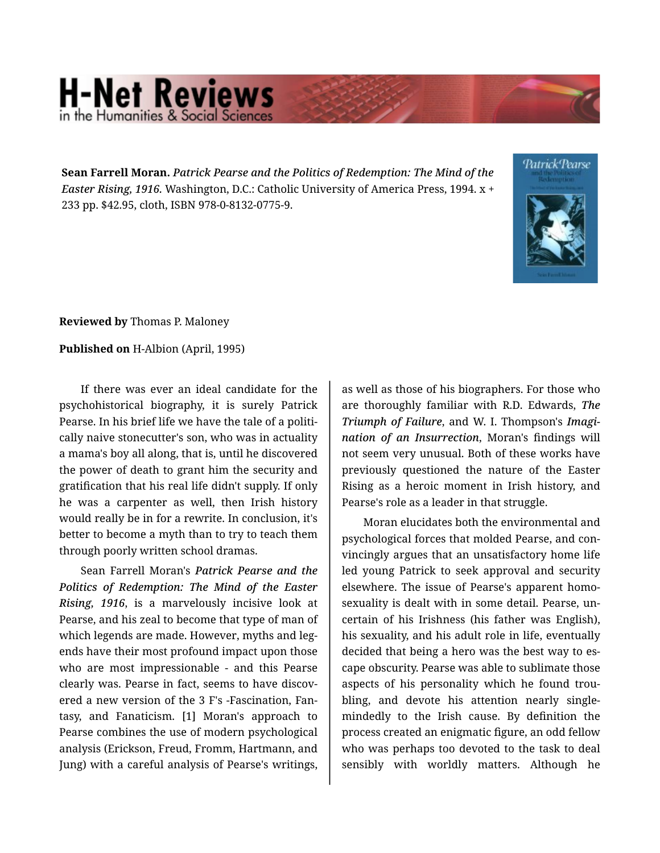## **H-Net Reviews** in the Humanities & Social Scier

**Sean Farrell Moran.** *Patrick Pearse and the Politics of Redemption: The Mind of the Easter Rising, 1916.* Washington, D.C.: Catholic University of America Press, 1994. x + 233 pp. \$42.95, cloth, ISBN 978-0-8132-0775-9.



**Reviewed by** Thomas P. Maloney

**Published on** H-Albion (April, 1995)

If there was ever an ideal candidate for the psychohistorical biography, it is surely Patrick Pearse. In his brief life we have the tale of a politi‐ cally naive stonecutter's son, who was in actuality a mama's boy all along, that is, until he discovered the power of death to grant him the security and gratification that his real life didn't supply. If only he was a carpenter as well, then Irish history would really be in for a rewrite. In conclusion, it's better to become a myth than to try to teach them through poorly written school dramas.

Sean Farrell Moran's *Patrick Pearse and the Politics of Redemption: The Mind of the Easter Rising, 1916*, is a marvelously incisive look at Pearse, and his zeal to become that type of man of which legends are made. However, myths and legends have their most profound impact upon those who are most impressionable - and this Pearse clearly was. Pearse in fact, seems to have discov‐ ered a new version of the 3 F's -Fascination, Fan‐ tasy, and Fanaticism. [1] Moran's approach to Pearse combines the use of modern psychological analysis (Erickson, Freud, Fromm, Hartmann, and Jung) with a careful analysis of Pearse's writings,

as well as those of his biographers. For those who are thoroughly familiar with R.D. Edwards, *The Triumph of Failure*, and W. I. Thompson's *Imagi‐ nation of an Insurrection*, Moran's findings will not seem very unusual. Both of these works have previously questioned the nature of the Easter Rising as a heroic moment in Irish history, and Pearse's role as a leader in that struggle.

Moran elucidates both the environmental and psychological forces that molded Pearse, and con‐ vincingly argues that an unsatisfactory home life led young Patrick to seek approval and security elsewhere. The issue of Pearse's apparent homo‐ sexuality is dealt with in some detail. Pearse, un‐ certain of his Irishness (his father was English), his sexuality, and his adult role in life, eventually decided that being a hero was the best way to es‐ cape obscurity. Pearse was able to sublimate those aspects of his personality which he found trou‐ bling, and devote his attention nearly singlemindedly to the Irish cause. By definition the process created an enigmatic figure, an odd fellow who was perhaps too devoted to the task to deal sensibly with worldly matters. Although he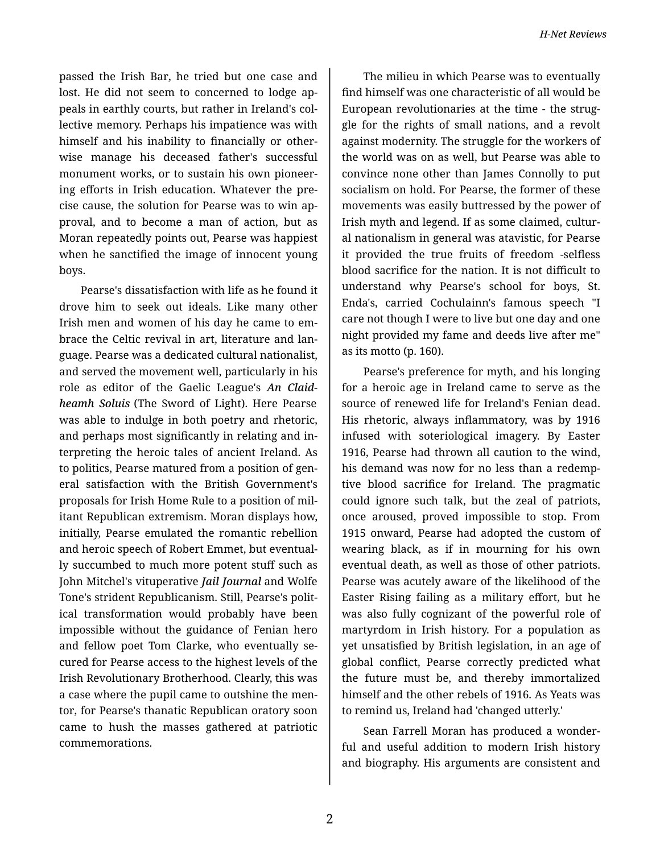passed the Irish Bar, he tried but one case and lost. He did not seem to concerned to lodge ap‐ peals in earthly courts, but rather in Ireland's col‐ lective memory. Perhaps his impatience was with himself and his inability to financially or other‐ wise manage his deceased father's successful monument works, or to sustain his own pioneer‐ ing efforts in Irish education. Whatever the pre‐ cise cause, the solution for Pearse was to win ap‐ proval, and to become a man of action, but as Moran repeatedly points out, Pearse was happiest when he sanctified the image of innocent young boys.

Pearse's dissatisfaction with life as he found it drove him to seek out ideals. Like many other Irish men and women of his day he came to em‐ brace the Celtic revival in art, literature and lan‐ guage. Pearse was a dedicated cultural nationalist, and served the movement well, particularly in his role as editor of the Gaelic League's *An Claid‐ heamh Soluis* (The Sword of Light). Here Pearse was able to indulge in both poetry and rhetoric, and perhaps most significantly in relating and in‐ terpreting the heroic tales of ancient Ireland. As to politics, Pearse matured from a position of gen‐ eral satisfaction with the British Government's proposals for Irish Home Rule to a position of mil‐ itant Republican extremism. Moran displays how, initially, Pearse emulated the romantic rebellion and heroic speech of Robert Emmet, but eventual‐ ly succumbed to much more potent stuff such as John Mitchel's vituperative *Jail Journal* and Wolfe Tone's strident Republicanism. Still, Pearse's polit‐ ical transformation would probably have been impossible without the guidance of Fenian hero and fellow poet Tom Clarke, who eventually se‐ cured for Pearse access to the highest levels of the Irish Revolutionary Brotherhood. Clearly, this was a case where the pupil came to outshine the men‐ tor, for Pearse's thanatic Republican oratory soon came to hush the masses gathered at patriotic commemorations.

The milieu in which Pearse was to eventually find himself was one characteristic of all would be European revolutionaries at the time - the strug‐ gle for the rights of small nations, and a revolt against modernity. The struggle for the workers of the world was on as well, but Pearse was able to convince none other than James Connolly to put socialism on hold. For Pearse, the former of these movements was easily buttressed by the power of Irish myth and legend. If as some claimed, cultur‐ al nationalism in general was atavistic, for Pearse it provided the true fruits of freedom -selfless blood sacrifice for the nation. It is not difficult to understand why Pearse's school for boys, St. Enda's, carried Cochulainn's famous speech "I care not though I were to live but one day and one night provided my fame and deeds live after me" as its motto (p. 160).

Pearse's preference for myth, and his longing for a heroic age in Ireland came to serve as the source of renewed life for Ireland's Fenian dead. His rhetoric, always inflammatory, was by 1916 infused with soteriological imagery. By Easter 1916, Pearse had thrown all caution to the wind, his demand was now for no less than a redemp‐ tive blood sacrifice for Ireland. The pragmatic could ignore such talk, but the zeal of patriots, once aroused, proved impossible to stop. From 1915 onward, Pearse had adopted the custom of wearing black, as if in mourning for his own eventual death, as well as those of other patriots. Pearse was acutely aware of the likelihood of the Easter Rising failing as a military effort, but he was also fully cognizant of the powerful role of martyrdom in Irish history. For a population as yet unsatisfied by British legislation, in an age of global conflict, Pearse correctly predicted what the future must be, and thereby immortalized himself and the other rebels of 1916. As Yeats was to remind us, Ireland had 'changed utterly.'

Sean Farrell Moran has produced a wonder‐ ful and useful addition to modern Irish history and biography. His arguments are consistent and